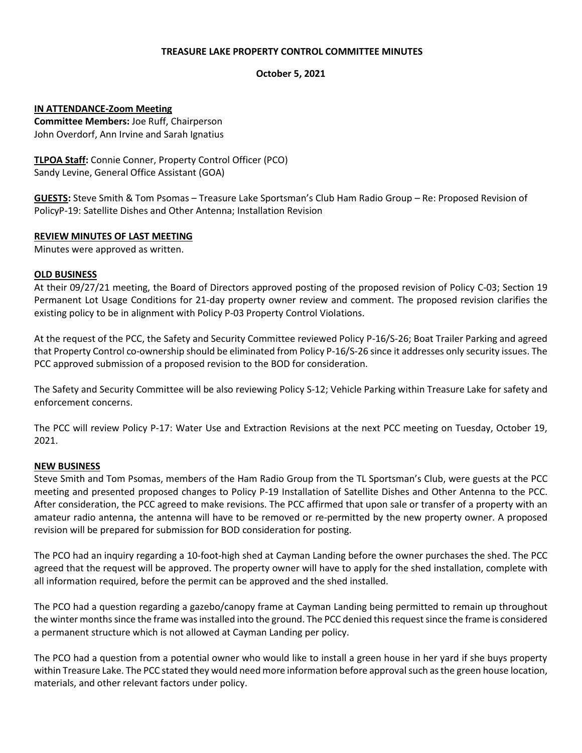## **TREASURE LAKE PROPERTY CONTROL COMMITTEE MINUTES**

## **October 5, 2021**

## **IN ATTENDANCE-Zoom Meeting**

**Committee Members:** Joe Ruff, Chairperson John Overdorf, Ann Irvine and Sarah Ignatius

**TLPOA Staff:** Connie Conner, Property Control Officer (PCO) Sandy Levine, General Office Assistant (GOA)

**GUESTS:** Steve Smith & Tom Psomas – Treasure Lake Sportsman's Club Ham Radio Group – Re: Proposed Revision of PolicyP-19: Satellite Dishes and Other Antenna; Installation Revision

#### **REVIEW MINUTES OF LAST MEETING**

Minutes were approved as written.

#### **OLD BUSINESS**

At their 09/27/21 meeting, the Board of Directors approved posting of the proposed revision of Policy C-03; Section 19 Permanent Lot Usage Conditions for 21-day property owner review and comment. The proposed revision clarifies the existing policy to be in alignment with Policy P-03 Property Control Violations.

At the request of the PCC, the Safety and Security Committee reviewed Policy P-16/S-26; Boat Trailer Parking and agreed that Property Control co-ownership should be eliminated from Policy P-16/S-26 since it addresses only security issues. The PCC approved submission of a proposed revision to the BOD for consideration.

The Safety and Security Committee will be also reviewing Policy S-12; Vehicle Parking within Treasure Lake for safety and enforcement concerns.

The PCC will review Policy P-17: Water Use and Extraction Revisions at the next PCC meeting on Tuesday, October 19, 2021.

# **NEW BUSINESS**

Steve Smith and Tom Psomas, members of the Ham Radio Group from the TL Sportsman's Club, were guests at the PCC meeting and presented proposed changes to Policy P-19 Installation of Satellite Dishes and Other Antenna to the PCC. After consideration, the PCC agreed to make revisions. The PCC affirmed that upon sale or transfer of a property with an amateur radio antenna, the antenna will have to be removed or re-permitted by the new property owner. A proposed revision will be prepared for submission for BOD consideration for posting.

The PCO had an inquiry regarding a 10-foot-high shed at Cayman Landing before the owner purchases the shed. The PCC agreed that the request will be approved. The property owner will have to apply for the shed installation, complete with all information required, before the permit can be approved and the shed installed.

The PCO had a question regarding a gazebo/canopy frame at Cayman Landing being permitted to remain up throughout the winter months since the frame was installed into the ground. The PCC denied this request since the frame is considered a permanent structure which is not allowed at Cayman Landing per policy.

The PCO had a question from a potential owner who would like to install a green house in her yard if she buys property within Treasure Lake. The PCC stated they would need more information before approval such as the green house location, materials, and other relevant factors under policy.